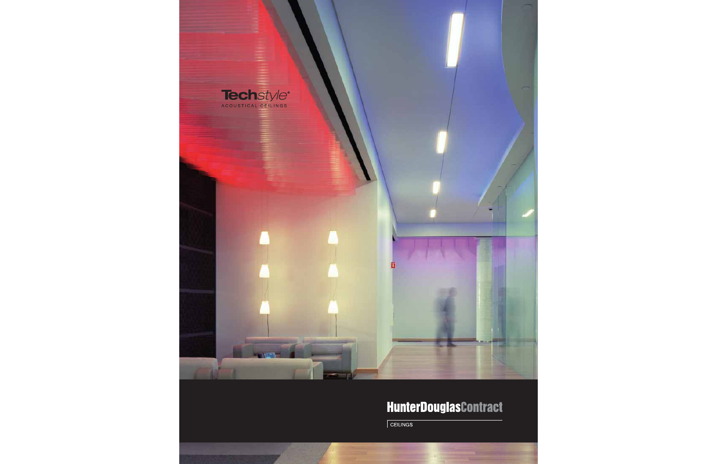

### **HunterDouglasContract**

 $\sqrt{\frac{1}{100}}$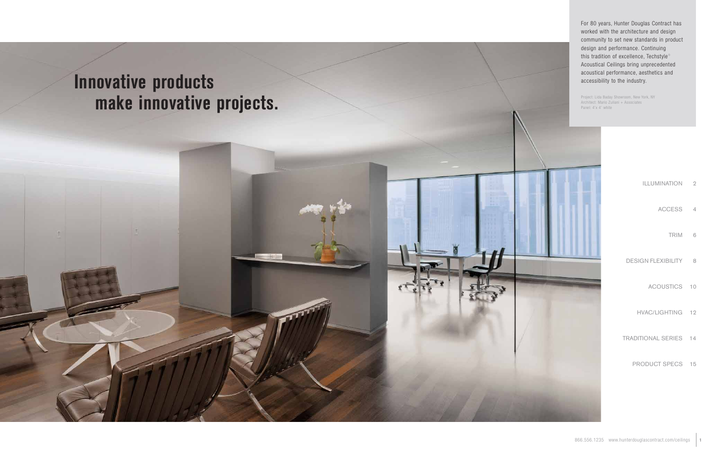

For 80 years, Hunter Douglas Contract has worked with the architecture and design community to set new standards in product design and performance. Continuing this tradition of excellence, Techstyle® Acoustical Ceilings bring unprecedented acoustical performance, aesthetics and accessibility to the industry.

Project: Lida Baday Showroom, New York, NY Architect: Mario Zuliani + Associates Panel: 4'x 4' white

| ILLUMINATION              | $\overline{2}$ |
|---------------------------|----------------|
| <b>ACCESS</b>             | $\overline{4}$ |
| <b>TRIM</b>               | 6              |
| <b>DESIGN FLEXIBILITY</b> | 8              |
| ACOUSTICS 10              |                |
| HVAC/LIGHTING 12          |                |
| TRADITIONAL SERIES 14     |                |
| PRODUCT SPECS 15          |                |
|                           |                |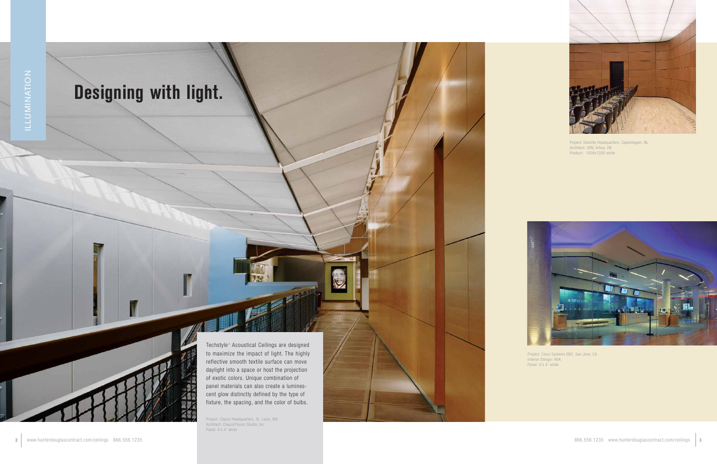# **Designing with light.**

Techstyle® Acoustical Ceilings are designed to maximize the impact of light. The highly reflective smooth textile surface can move daylight into a space or host the projection of exotic colors. Unique combination of panel materials can also create a luminescent glow distinctly defined by the type of fixture, the spacing, and the color of bulbs.

Project: Clayco Headquarters, St. Louis, MO Architect: Clayco/Forum Studio, Inc. Panel: 4'x 4' white



Project: Deloitte Headquarters, Copenhagen, NL Architect: 3XN, Arhus, DK Product: 1200x1200 white



Project: Cisco Systems EBC, San Jose, CA Interior Design: HOK Panel: 4'x 4' white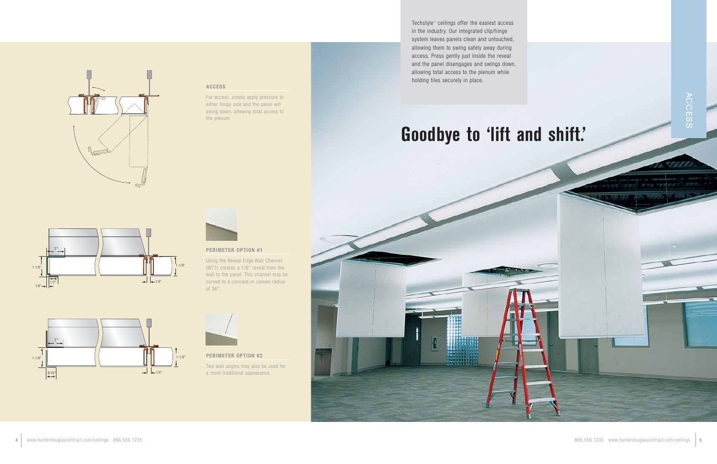

### **ACCESS**

For access, simply apply pressure to either hinge side and the panel will swing down, allowing total access to the plenum.



### **PERIMETER OPTION #1**



Using the Reveal Edge Wall Channel (WT1) creates a 1/8" reveal from the wall to the panel. This channel may be curved to a concave or convex radius of 36".

### **PERIMETER OPTION #2**

Two wall angles may also be used for a more traditional appearance.

Techstyle® ceilings offer the easiest access

1"

 $1/8"$   $\rightarrow$   $\begin{array}{c} |1/2" \\ \leftarrow \end{array}$ 



1-1⁄8"

1⁄4"

1-1⁄8"

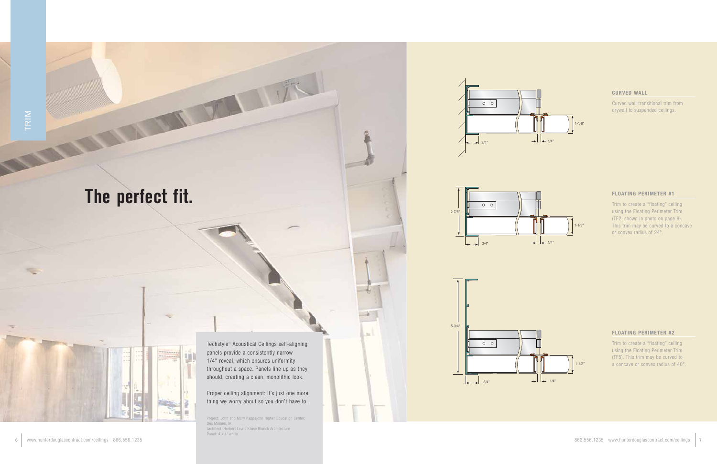## **The perfect fit.**

Techstyle® Acoustical Ceilings self-aligning panels provide a consistently narrow 1/4" reveal, which ensures uniformity throughout a space. Panels line up as they should, creating a clean, monolithic look.

### Proper ceiling alignment: It's just one more thing we worry about so you don't have to.

Project: John and Mary Pappajohn Higher Education Center, Des Moines, IA Architect: Herbert Lewis Kruse Blunck Architecture Panel: 4'x 4' white

### **CURVED WALL**

Curved wall transitional trim from drywall to suspended ceilings.

### **FLOATING PERIMETER #1**

Trim to create a "floating" ceiling using the Floating Perimeter Trim (TF2, shown in photo on page 8). This trim may be curved to a concave or convex radius of 24".

### **FLOATING PERIMETER #2**

Trim to create a "floating" ceiling using the Floating Perimeter Trim (TF5). This trim may be curved to a concave or convex radius of 40".









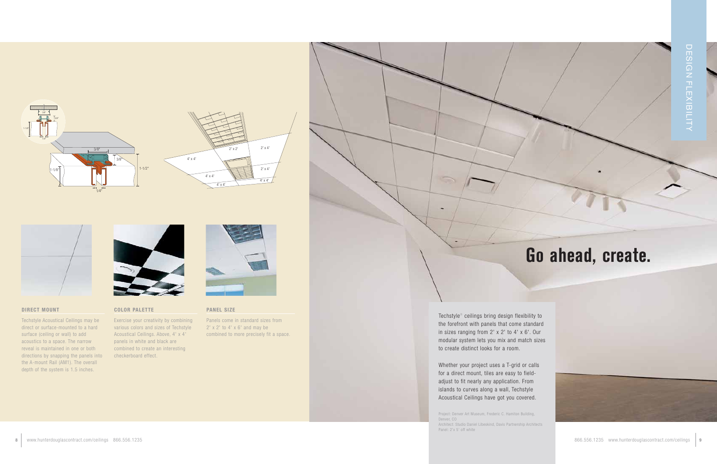**PANEL SIZE**

Panels come in standard sizes from  $2'$  x  $2'$  to  $4'$  x  $6'$  and may be combined to more precisely fit a space.

### **COLOR PALETTE**

Exercise your creativity by combining various colors and sizes of Techstyle Acoustical Ceilings. Above, 4' x 4' panels in white and black are combined to create an interesting checkerboard effect.





### **DIRECT MOUNT**

Techstyle Acoustical Ceilings may be direct or surface-mounted to a hard surface (ceiling or wall) to add acoustics to a space. The narrow reveal is maintained in one or both directions by snapping the panels into the A-mount Rail (AM1). The overall depth of the system is 1.5 inches.



Techstyle® ceilings bring design flexibility to the forefront with panels that come standard in sizes ranging from 2' x 2' to 4' x 6'. Our modular system lets you mix and match sizes to create distinct looks for a room.

Whether your project uses a T-grid or calls for a direct mount, tiles are easy to fieldadjust to fit nearly any application. From islands to curves along a wall, Techstyle Acoustical Ceilings have got you covered.

Project: Denver Art Museum, Frederic C. Hamiton Building, Denver, CO Architect: Studio Daniel Libeskind, Davis Partnership Architects Panel: 2'x 5' off white





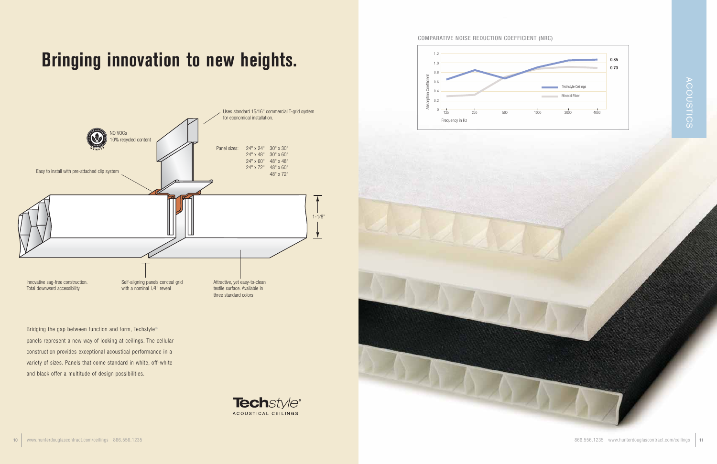Bridging the gap between function and form, Techstyle<sup>®</sup> panels represent a new way of looking at ceilings. The cellular construction provides exceptional acoustical performance in a variety of sizes. Panels that come standard in white, off-white and black offer a multitude of design possibilities.



# **Bringing innovation to new heights.**







### COMPARATIVE NOISE REDUCTION COEFFICIENT (NRC)



**<sup>10</sup>** www.hunterdouglascontract.com/ceilings 866.556.1235 866.556.1235 www.hunterdouglascontract.com/ceilings **<sup>11</sup>**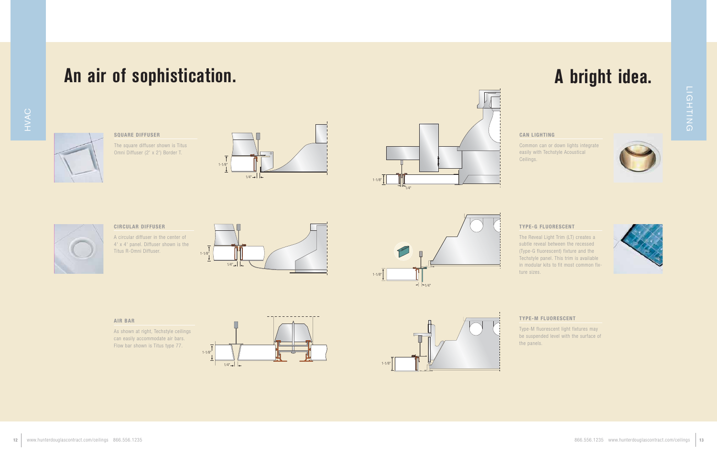

**SQUARE DIFFUSER** The square diffuser shown is Titus Omni Diffuser (2' x 2') Border T.



**CIRCULAR DIFFUSER**

A circular diffuser in the center of 4' x 4' panel. Diffuser shown is the Titus R-Omni Diffuser.



As shown at right, Techstyle ceilings can easily accommodate air bars. Flow bar shown is Titus type 77.

### **CAN LIGHTING**

Common can or down lights integrate easily with Techstyle Acoustical Ceilings.



### **TYPE-G FLUORESCENT**

The Reveal Light Trim (LT) creates a subtle reveal between the recessed (Type-G fluorescent) fixture and the Techstyle panel. This trim is available in modular kits to fit most common fixture sizes.



### **TYPE-M FLUORESCENT**

Type-M fluorescent light fixtures may be suspended level with the surface of the panels.

## **An air of sophistication. A bright idea.**

LIGHTING













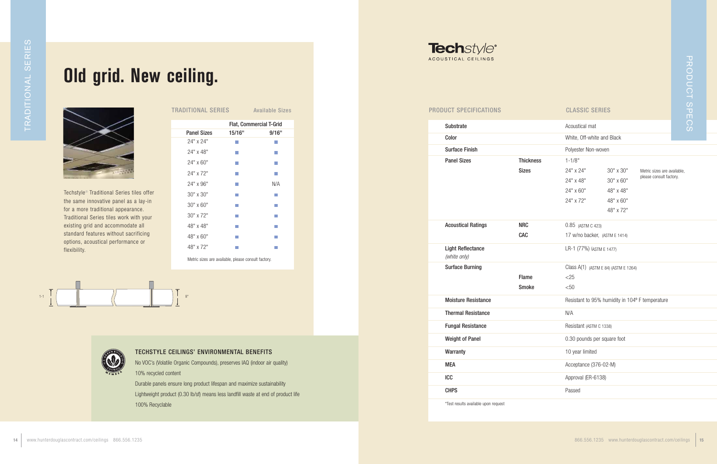| Substrate                                |                  | Acoustical mat        |
|------------------------------------------|------------------|-----------------------|
| Color                                    |                  | White, Off-white and  |
| <b>Surface Finish</b>                    |                  | Polyester Non-woven   |
| <b>Panel Sizes</b>                       | <b>Thickness</b> | $1 - 1/8"$            |
|                                          | <b>Sizes</b>     | 24" x 24"             |
|                                          |                  | 24" x 48"             |
|                                          |                  | 24" x 60"             |
|                                          |                  | 24" x 72"             |
|                                          |                  |                       |
| <b>Acoustical Ratings</b>                | <b>NRC</b>       | 0.85 (ASTM C 423)     |
|                                          | <b>CAC</b>       | 17 w/no backer, (AST  |
| <b>Light Reflectance</b><br>(white only) |                  | LR-1 (77%) (ASTM E 1  |
| <b>Surface Burning</b>                   |                  | Class A(1) (ASTM E 84 |
|                                          | <b>Flame</b>     | $<$ 25                |
|                                          | <b>Smoke</b>     | < 50                  |
| <b>Moisture Resistance</b>               |                  | Resistant to 95% hui  |
| <b>Thermal Resistance</b>                |                  | N/A                   |
| <b>Fungal Resistance</b>                 |                  | Resistant (ASTM C 133 |
| <b>Weight of Panel</b>                   |                  | 0.30 pounds per squ   |
| Warranty                                 |                  | 10 year limited       |
| <b>MEA</b>                               |                  | Acceptance (376-02    |
| <b>ICC</b>                               |                  | Approval (ER-6138)    |
| <b>CHPS</b>                              |                  | Passed                |
| *Test results available upon request     |                  |                       |

| Old grid. New ceiling.                                                                                                                                                                                                                                                                                                                                                                                                                                                          | <b>TRADITIONAL SERIES</b>                           |                                       | <b>Available Sizes</b>        | <b>Techstyle®</b><br>ACOUSTICAL CEILINGS<br><b>PRODUCT SPECIFICATIONS</b> | PRODUCT SPECS<br><b>CLASSIC SERIES</b>                |
|---------------------------------------------------------------------------------------------------------------------------------------------------------------------------------------------------------------------------------------------------------------------------------------------------------------------------------------------------------------------------------------------------------------------------------------------------------------------------------|-----------------------------------------------------|---------------------------------------|-------------------------------|---------------------------------------------------------------------------|-------------------------------------------------------|
|                                                                                                                                                                                                                                                                                                                                                                                                                                                                                 |                                                     |                                       | Flat, Commercial T-Grid       | Substrate                                                                 | Acoustical mat                                        |
|                                                                                                                                                                                                                                                                                                                                                                                                                                                                                 | <b>Panel Sizes</b>                                  | 15/16"                                | 9/16"                         | Color                                                                     | White, Off-white and Black                            |
|                                                                                                                                                                                                                                                                                                                                                                                                                                                                                 | 24" x 24"<br>24" x 48"                              | $\mathcal{L}_{\mathcal{A}}$           | $\sim$                        | <b>Surface Finish</b>                                                     |                                                       |
|                                                                                                                                                                                                                                                                                                                                                                                                                                                                                 | 24" x 60"                                           | $\sim$<br>$\mathcal{L}_{\mathcal{A}}$ | <b>College</b><br><b>Tara</b> | <b>Panel Sizes</b><br><b>Thickness</b>                                    | Polyester Non-woven<br>$1 - 1/8"$                     |
|                                                                                                                                                                                                                                                                                                                                                                                                                                                                                 | 24" x 72"                                           | $\mathcal{L}_{\mathcal{A}}$           | $\mathcal{L}_{\mathcal{A}}$   | <b>Sizes</b>                                                              | 24" x 24"<br>30" x 30"<br>Metric sizes are available, |
|                                                                                                                                                                                                                                                                                                                                                                                                                                                                                 | 24" x 96"                                           | $\mathcal{L}_{\mathcal{A}}$           | N/A                           |                                                                           | please consult factory.<br>30" x 60"<br>24" x 48"     |
| Techstyle <sup>®</sup> Traditional Series tiles offer                                                                                                                                                                                                                                                                                                                                                                                                                           | 30" x 30"                                           | <b>The Co</b>                         | $\sim$                        |                                                                           | 48" x 48"<br>24" x 60"                                |
| the same innovative panel as a lay-in                                                                                                                                                                                                                                                                                                                                                                                                                                           | 30" x 60"                                           | <b>The State</b>                      | <b>The State</b>              |                                                                           | 48" x 60"<br>24" x 72"                                |
| for a more traditional appearance.<br>Traditional Series tiles work with your                                                                                                                                                                                                                                                                                                                                                                                                   | 30" x 72"                                           | T.                                    | <b>College</b>                |                                                                           | 48" x 72"                                             |
| existing grid and accommodate all                                                                                                                                                                                                                                                                                                                                                                                                                                               | 48" x 48"                                           | $\mathcal{L}_{\mathcal{A}}$           | <b>The State</b>              | <b>NRC</b><br><b>Acoustical Ratings</b>                                   | 0.85 (ASTM C 423)                                     |
| standard features without sacrificing<br>options, acoustical performance or                                                                                                                                                                                                                                                                                                                                                                                                     | 48" x 60"                                           | $\sim$                                | <b>The State</b>              | CAC                                                                       | 17 w/no backer, (ASTM E 1414)                         |
| flexibility.                                                                                                                                                                                                                                                                                                                                                                                                                                                                    | 48" x 72"                                           | T.                                    | m.                            | <b>Light Reflectance</b>                                                  | LR-1 (77%) (ASTM E 1477)                              |
|                                                                                                                                                                                                                                                                                                                                                                                                                                                                                 | Metric sizes are available, please consult factory. |                                       |                               | (white only)                                                              |                                                       |
|                                                                                                                                                                                                                                                                                                                                                                                                                                                                                 |                                                     |                                       |                               | <b>Surface Burning</b>                                                    | Class $A(1)$ (ASTM E 84) (ASTM E 1264)                |
|                                                                                                                                                                                                                                                                                                                                                                                                                                                                                 |                                                     |                                       |                               | Flame<br>Smoke                                                            | $<$ 25<br>$50$                                        |
|                                                                                                                                                                                                                                                                                                                                                                                                                                                                                 | 8"                                                  |                                       |                               | <b>Moisture Resistance</b>                                                | Resistant to 95% humidity in 104° F temperature       |
| $\overline{\phantom{a}}$ $\overline{\phantom{a}}$ $\overline{\phantom{a}}$ $\overline{\phantom{a}}$ $\overline{\phantom{a}}$ $\overline{\phantom{a}}$ $\overline{\phantom{a}}$ $\overline{\phantom{a}}$ $\overline{\phantom{a}}$ $\overline{\phantom{a}}$ $\overline{\phantom{a}}$ $\overline{\phantom{a}}$ $\overline{\phantom{a}}$ $\overline{\phantom{a}}$ $\overline{\phantom{a}}$ $\overline{\phantom{a}}$ $\overline{\phantom{a}}$ $\overline{\phantom{a}}$ $\overline{\$ |                                                     |                                       |                               |                                                                           | N/A                                                   |
|                                                                                                                                                                                                                                                                                                                                                                                                                                                                                 |                                                     |                                       |                               | <b>Thermal Resistance</b>                                                 |                                                       |
|                                                                                                                                                                                                                                                                                                                                                                                                                                                                                 |                                                     |                                       |                               | <b>Fungal Resistance</b>                                                  | Resistant (ASTM C 1338)                               |
|                                                                                                                                                                                                                                                                                                                                                                                                                                                                                 |                                                     |                                       | <b>Weight of Panel</b>        | 0.30 pounds per square foot                                               |                                                       |
| TECHSTYLE CEILINGS' ENVIRONMENTAL BENEFITS<br>No VOC's (Volatile Organic Compounds), preserves IAQ (indoor air quality)<br>10% recycled content<br>Durable panels ensure long product lifespan and maximize sustainability<br>$radust (0.20 lb/of)$ means less landfill weats at                                                                                                                                                                                                |                                                     |                                       |                               | Warranty                                                                  | 10 year limited                                       |
|                                                                                                                                                                                                                                                                                                                                                                                                                                                                                 |                                                     |                                       |                               | <b>MEA</b>                                                                | Acceptance (376-02-M)                                 |
|                                                                                                                                                                                                                                                                                                                                                                                                                                                                                 |                                                     |                                       |                               | ICC                                                                       | Approval (ER-6138)                                    |
|                                                                                                                                                                                                                                                                                                                                                                                                                                                                                 |                                                     |                                       |                               | <b>CHPS</b>                                                               | Passed                                                |

## **Old grid. New ceiling.**







### TECHSTYLE CEILINGS' ENVIRONMENTAL BENEFITS

| TRADITIONAL SERIES                                  |                                | <b>Available Sizes</b> |  |  |  |
|-----------------------------------------------------|--------------------------------|------------------------|--|--|--|
|                                                     | <b>Flat, Commercial T-Grid</b> |                        |  |  |  |
| <b>Panel Sizes</b>                                  | 15/16"                         | 9/16"                  |  |  |  |
| 24" x 24"                                           |                                |                        |  |  |  |
| 24" x 48"                                           |                                |                        |  |  |  |
| $24" \times 60"$                                    |                                |                        |  |  |  |
| 24" x 72"                                           |                                |                        |  |  |  |
| 24" x 96"                                           |                                | N/A                    |  |  |  |
| $30" \times 30"$                                    |                                |                        |  |  |  |
| $30" \times 60"$                                    |                                |                        |  |  |  |
| 30" x 72"                                           |                                |                        |  |  |  |
| 48" x 48"                                           |                                |                        |  |  |  |
| 48" x 60"                                           |                                |                        |  |  |  |
| 48" x 72"                                           |                                |                        |  |  |  |
| Metric sizes are available, please consult factory. |                                |                        |  |  |  |

Durable panels ensure long product lifespan and maximize sustainability Lightweight product (0.30 lb/sf) means less landfill waste at end of product life 100% Recyclable



### PRODUCT SPECIFICATIONS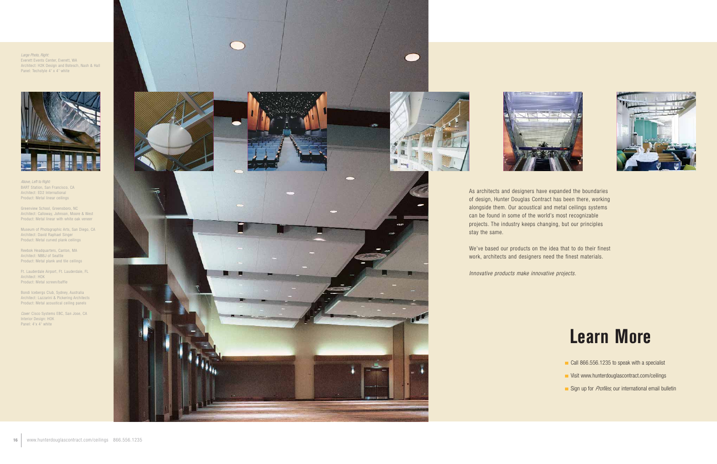Above, Left to Right: BART Station, San Francisco, CA Architect: ED2 International Product: Metal linear ceilings

Greenview School, Greensboro, NC Architect: Calloway, Johnson, Moore & West Product: Metal linear with white oak veneer

Museum of Photographic Arts, San Diego, CA Architect: David Raphael Singer Product: Metal curved plank ceilings

Cover: Cisco Systems EBC, San Jose, CA Interior Design: HOK Panel: 4'x 4' white

### Large Photo, Right: Everett Events Center, Everett, WA Architect: H2K Design and Botesch, Nash & Hall Panel: Techstyle 4' x 4' white







Reebok Headquarters, Canton, MA Architect: NBBJ of Seattle Product: Metal plank and tile ceilings

Ft. Lauderdale Airport, Ft. Lauderdale, FL Architect: HOK Product: Metal screen/baffle

Bondi Icebergs Club, Sydney, Australia Architect: Lazzarini & Pickering Architects Product: Metal acoustical ceiling panels

As architects and designers have expanded the boundaries of design, Hunter Douglas Contract has been there, working alongside them. Our acoustical and metal ceilings systems can be found in some of the world's most recognizable projects. The industry keeps changing, but our principles stay the same.

We've based our products on the idea that to do their finest work, architects and designers need the finest materials.

Innovative products make innovative projects.





## **Learn More**

- Call 866.556.1235 to speak with a specialist
- Visit www.hunterdouglascontract.com/ceilings
- Sign up for *Profiles*, our international email bulletin